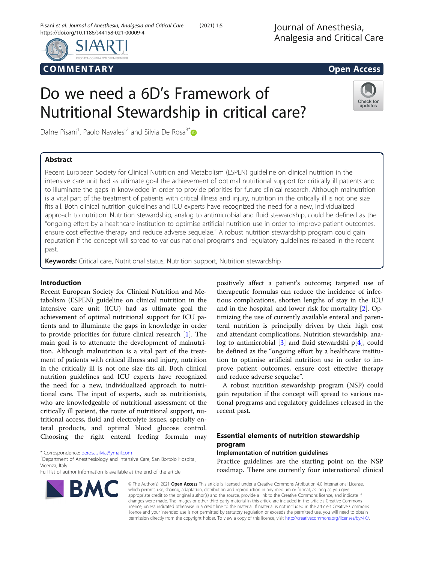

# COMM EN TARY Open Access

# Do we need a 6D's Framework of Nutritional Stewardship in critical care?

Dafne Pisani<sup>1</sup>, Paolo Navalesi<sup>2</sup> and Silvia De Rosa<sup>3\*</sup>

# Abstract



Recent European Society for Clinical Nutrition and Metabolism (ESPEN) guideline on clinical nutrition in the intensive care unit had as ultimate goal the achievement of optimal nutritional support for critically ill patients and to illuminate the gaps in knowledge in order to provide priorities for future clinical research. Although malnutrition is a vital part of the treatment of patients with critical illness and injury, nutrition in the critically ill is not one size fits all. Both clinical nutrition guidelines and ICU experts have recognized the need for a new, individualized approach to nutrition. Nutrition stewardship, analog to antimicrobial and fluid stewardship, could be defined as the "ongoing effort by a healthcare institution to optimise artificial nutrition use in order to improve patient outcomes, ensure cost effective therapy and reduce adverse sequelae." A robust nutrition stewardship program could gain reputation if the concept will spread to various national programs and regulatory guidelines released in the recent past.

**Keywords:** Critical care, Nutritional status, Nutrition support, Nutrition stewardship

# Introduction

Recent European Society for Clinical Nutrition and Metabolism (ESPEN) guideline on clinical nutrition in the intensive care unit (ICU) had as ultimate goal the achievement of optimal nutritional support for ICU patients and to illuminate the gaps in knowledge in order to provide priorities for future clinical research [\[1](#page-4-0)]. The main goal is to attenuate the development of malnutrition. Although malnutrition is a vital part of the treatment of patients with critical illness and injury, nutrition in the critically ill is not one size fits all. Both clinical nutrition guidelines and ICU experts have recognized the need for a new, individualized approach to nutritional care. The input of experts, such as nutritionists, who are knowledgeable of nutritional assessment of the critically ill patient, the route of nutritional support, nutritional access, fluid and electrolyte issues, specialty enteral products, and optimal blood glucose control. Choosing the right enteral feeding formula may

<sup>3</sup> Department of Anesthesiology and Intensive Care, San Bortolo Hospital, Vicenza, Italy

Full list of author information is available at the end of the article



positively affect a patient's outcome; targeted use of

A robust nutrition stewardship program (NSP) could gain reputation if the concept will spread to various national programs and regulatory guidelines released in the recent past.

# Essential elements of nutrition stewardship program

# Implementation of nutrition guidelines

Practice guidelines are the starting point on the NSP roadmap. There are currently four international clinical



© The Author(s). 2021 Open Access This article is licensed under a Creative Commons Attribution 4.0 International License, which permits use, sharing, adaptation, distribution and reproduction in any medium or format, as long as you give appropriate credit to the original author(s) and the source, provide a link to the Creative Commons licence, and indicate if changes were made. The images or other third party material in this article are included in the article's Creative Commons licence, unless indicated otherwise in a credit line to the material. If material is not included in the article's Creative Commons licence and your intended use is not permitted by statutory regulation or exceeds the permitted use, you will need to obtain permission directly from the copyright holder. To view a copy of this licence, visit [http://creativecommons.org/licenses/by/4.0/.](http://creativecommons.org/licenses/by/4.0/)

<sup>\*</sup> Correspondence: [derosa.silvia@ymail.com](mailto:derosa.silvia@ymail.com) <sup>3</sup>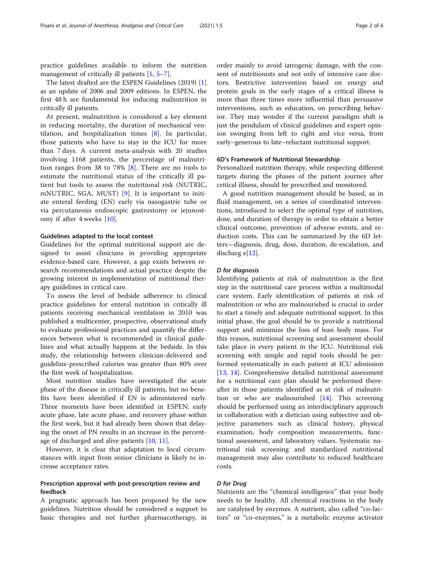practice guidelines available to inform the nutrition management of critically ill patients [[1,](#page-4-0) [5](#page-4-0)–[7](#page-4-0)].

The latest drafted are the ESPEN Guidelines (2019) [\[1](#page-4-0)] as an update of 2006 and 2009 editions. In ESPEN, the first 48 h are fundamental for inducing malnutrition in critically ill patients.

At present, malnutrition is considered a key element in reducing mortality, the duration of mechanical ventilation, and hospitalization times [[8](#page-4-0)]. In particular, those patients who have to stay in the ICU for more than 7 days. A current meta-analysis with 20 studies involving 1168 patients, the percentage of malnutrition ranges from 38 to 78% [\[8](#page-4-0)]. There are no tools to estimate the nutritional status of the critically ill patient but tools to assess the nutritional risk (NUTRIC, mNUTRIC, SGA, MUST) [[9](#page-4-0)]. It is important to initiate enteral feeding (EN) early via nasogastric tube or via percutaneous endoscopic gastrostomy or jejunostomy if after 4 weeks [[10\]](#page-4-0).

# Guidelines adapted to the local context

Guidelines for the optimal nutritional support are designed to assist clinicians in providing appropriate evidence-based care. However, a gap exists between research recommendations and actual practice despite the growing interest in implementation of nutritional therapy guidelines in critical care.

To assess the level of bedside adherence to clinical practice guidelines for enteral nutrition in critically ill patients receiving mechanical ventilation in 2010 was published a multicenter, prospective, observational study to evaluate professional practices and quantify the differences between what is recommended in clinical guidelines and what actually happens at the bedside. In this study, the relationship between clinician-delivered and guideline-prescribed calories was greater than 80% over the first week of hospitalization.

Most nutrition studies have investigated the acute phase of the disease in critically ill patients, but no benefits have been identified if EN is administered early. Three moments have been identified in ESPEN: early acute phase, late acute phase, and recovery phase within the first week, but it had already been shown that delaying the onset of PN results in an increase in the percentage of discharged and alive patients [\[10,](#page-4-0) [11\]](#page-4-0).

However, it is clear that adaptation to local circumstances with input from senior clinicians is likely to increase acceptance rates.

# Prescription approval with post-prescription review and feedback

A pragmatic approach has been proposed by the new guidelines. Nutrition should be considered a support to basic therapies and not further pharmacotherapy, in

order mainly to avoid iatrogenic damage, with the consent of nutritionists and not only of intensive care doctors. Restrictive intervention based on energy and protein goals in the early stages of a critical illness is more than three times more influential than persuasive interventions, such as education, on prescribing behavior. They may wonder if the current paradigm shift is just the pendulum of clinical guidelines and expert opinion swinging from left to right and vice versa, from early–generous to late–reluctant nutritional support.

# 6D's Framework of Nutritional Stewardship

Personalized nutrition therapy, while respecting different targets during the phases of the patient journey after critical illness, should be prescribed and monitored.

A good nutrition management should be based, as in fluid management, on a series of coordinated interventions, introduced to select the optimal type of nutrition, dose, and duration of therapy in order to obtain a better clinical outcome, prevention of adverse events, and reduction costs. This can be summarized by the 6D letters—diagnosis, drug, dose, duration, de-escalation, and discharg  $e[12]$  $e[12]$  $e[12]$ .

# D for diagnosis

Identifying patients at risk of malnutrition is the first step in the nutritional care process within a multimodal care system. Early identification of patients at risk of malnutrition or who are malnourished is crucial in order to start a timely and adequate nutritional support. In this initial phase, the goal should be to provide a nutritional support and minimize the loss of lean body mass. For this reason, nutritional screening and assessment should take place in every patient in the ICU. Nutritional risk screening with simple and rapid tools should be performed systematically in each patient at ICU admission [[13,](#page-5-0) [14\]](#page-5-0). Comprehensive detailed nutritional assessment for a nutritional care plan should be performed thereafter in those patients identified as at risk of malnutrition or who are malnourished [[14\]](#page-5-0). This screening should be performed using an interdisciplinary approach in collaboration with a dietician using subjective and objective parameters such as clinical history, physical examination, body composition measurements, functional assessment, and laboratory values. Systematic nutritional risk screening and standardized nutritional management may also contribute to reduced healthcare costs.

# D for Drug

Nutrients are the "chemical intelligence" that your body needs to be healthy. All chemical reactions in the body are catalyzed by enzymes. A nutrient, also called "co-factors" or "co-enzymes," is a metabolic enzyme activator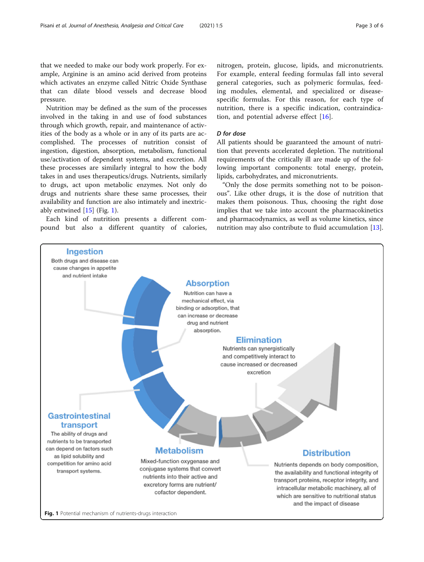<span id="page-2-0"></span>that we needed to make our body work properly. For example, Arginine is an amino acid derived from proteins which activates an enzyme called Nitric Oxide Synthase that can dilate blood vessels and decrease blood pressure.

Nutrition may be defined as the sum of the processes involved in the taking in and use of food substances through which growth, repair, and maintenance of activities of the body as a whole or in any of its parts are accomplished. The processes of nutrition consist of ingestion, digestion, absorption, metabolism, functional use/activation of dependent systems, and excretion. All these processes are similarly integral to how the body takes in and uses therapeutics/drugs. Nutrients, similarly to drugs, act upon metabolic enzymes. Not only do drugs and nutrients share these same processes, their availability and function are also intimately and inextricably entwined [[15](#page-5-0)] (Fig. 1).

Each kind of nutrition presents a different compound but also a different quantity of calories, nitrogen, protein, glucose, lipids, and micronutrients. For example, enteral feeding formulas fall into several general categories, such as polymeric formulas, feeding modules, elemental, and specialized or diseasespecific formulas. For this reason, for each type of nutrition, there is a specific indication, contraindication, and potential adverse effect [\[16](#page-5-0)].

# D for dose

All patients should be guaranteed the amount of nutrition that prevents accelerated depletion. The nutritional requirements of the critically ill are made up of the following important components: total energy, protein, lipids, carbohydrates, and micronutrients.

"Only the dose permits something not to be poisonous". Like other drugs, it is the dose of nutrition that makes them poisonous. Thus, choosing the right dose implies that we take into account the pharmacokinetics and pharmacodynamics, as well as volume kinetics, since nutrition may also contribute to fluid accumulation [\[13](#page-5-0)].

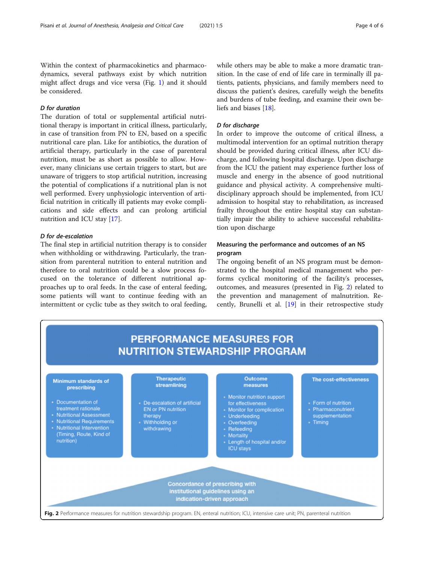Within the context of pharmacokinetics and pharmacodynamics, several pathways exist by which nutrition might affect drugs and vice versa (Fig. [1](#page-2-0)) and it should be considered.

# D for duration

The duration of total or supplemental artificial nutritional therapy is important in critical illness, particularly, in case of transition from PN to EN, based on a specific nutritional care plan. Like for antibiotics, the duration of artificial therapy, particularly in the case of parenteral nutrition, must be as short as possible to allow. However, many clinicians use certain triggers to start, but are unaware of triggers to stop artificial nutrition, increasing the potential of complications if a nutritional plan is not well performed. Every unphysiologic intervention of artificial nutrition in critically ill patients may evoke complications and side effects and can prolong artificial nutrition and ICU stay [[17\]](#page-5-0).

# D for de-escalation

The final step in artificial nutrition therapy is to consider when withholding or withdrawing. Particularly, the transition from parenteral nutrition to enteral nutrition and therefore to oral nutrition could be a slow process focused on the tolerance of different nutritional approaches up to oral feeds. In the case of enteral feeding, some patients will want to continue feeding with an intermittent or cyclic tube as they switch to oral feeding, while others may be able to make a more dramatic transition. In the case of end of life care in terminally ill patients, patients, physicians, and family members need to discuss the patient's desires, carefully weigh the benefits and burdens of tube feeding, and examine their own beliefs and biases [[18\]](#page-5-0).

# D for discharge

In order to improve the outcome of critical illness, a multimodal intervention for an optimal nutrition therapy should be provided during critical illness, after ICU discharge, and following hospital discharge. Upon discharge from the ICU the patient may experience further loss of muscle and energy in the absence of good nutritional guidance and physical activity. A comprehensive multidisciplinary approach should be implemented, from ICU admission to hospital stay to rehabilitation, as increased frailty throughout the entire hospital stay can substantially impair the ability to achieve successful rehabilitation upon discharge

# Measuring the performance and outcomes of an NS program

The ongoing benefit of an NS program must be demonstrated to the hospital medical management who performs cyclical monitoring of the facility's processes, outcomes, and measures (presented in Fig. 2) related to the prevention and management of malnutrition. Recently, Brunelli et al. [[19\]](#page-5-0) in their retrospective study

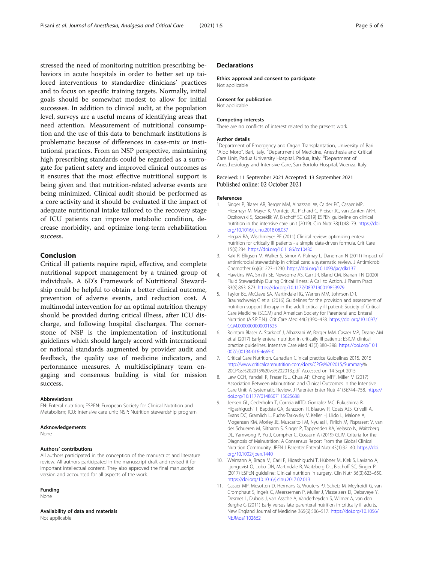<span id="page-4-0"></span>stressed the need of monitoring nutrition prescribing behaviors in acute hospitals in order to better set up tailored interventions to standardize clinicians' practices and to focus on specific training targets. Normally, initial goals should be somewhat modest to allow for initial successes. In addition to clinical audit, at the population level, surveys are a useful means of identifying areas that need attention. Measurement of nutritional consumption and the use of this data to benchmark institutions is problematic because of differences in case-mix or institutional practices. From an NSP perspective, maintaining high prescribing standards could be regarded as a surrogate for patient safety and improved clinical outcomes as it ensures that the most effective nutritional support is being given and that nutrition-related adverse events are being minimized. Clinical audit should be performed as a core activity and it should be evaluated if the impact of adequate nutritional intake tailored to the recovery stage of ICU patients can improve metabolic condition, decrease morbidity, and optimize long-term rehabilitation success.

# Conclusion

Critical ill patients require rapid, effective, and complete nutritional support management by a trained group of individuals. A 6D's Framework of Nutritional Stewardship could be helpful to obtain a better clinical outcome, prevention of adverse events, and reduction cost. A multimodal intervention for an optimal nutrition therapy should be provided during critical illness, after ICU discharge, and following hospital discharges. The cornerstone of NSP is the implementation of institutional guidelines which should largely accord with international or national standards augmented by provider audit and feedback, the quality use of medicine indicators, and performance measures. A multidisciplinary team engaging and consensus building is vital for mission success.

# Abbreviations

EN: Enteral nutrition; ESPEN: European Society for Clinical Nutrition and Metabolism; ICU: Intensive care unit; NSP: Nutrition stewardship program

#### Acknowledgements

None

#### Authors' contributions

All authors participated in the conception of the manuscript and literature review. All authors participated in the manuscript draft and revised it for important intellectual content. They also approved the final manuscript version and accounted for all aspects of the work.

#### Funding

None

Availability of data and materials Not applicable

# **Declarations**

#### Ethics approval and consent to participate

Not applicable

#### Consent for publication

Not applicable

#### Competing interests

There are no conflicts of interest related to the present work.

#### Author details

<sup>1</sup>Department of Emergency and Organ Transplantation, University of Bari "Aldo Moro", Bari, Italy. <sup>2</sup>Department of Medicine, Anesthesia and Critical Care Unit, Padua University Hospital, Padua, Italy. <sup>3</sup>Department of Anesthesiology and Intensive Care, San Bortolo Hospital, Vicenza, Italy.

# Received: 11 September 2021 Accepted: 13 September 2021 Published online: 02 October 2021

#### References

- 1. Singer P, Blaser AR, Berger MM, Alhazzani W, Calder PC, Casaer MP, Hiesmayr M, Mayer K, Montejo JC, Pichard C, Preiser JC, van Zanten ARH, Oczkowski S, Szczeklik W, Bischoff SC (2019) ESPEN guideline on clinical nutrition in the intensive care unit (2019). Clin Nutr 38(1):48–79. [https://doi.](https://doi.org/10.1016/j.clnu.2018.08.037) [org/10.1016/j.clnu.2018.08.037](https://doi.org/10.1016/j.clnu.2018.08.037)
- 2. Hegazi RA, Wischmeyer PE (2011) Clinical review: optimizing enteral nutrition for critically ill patients - a simple data-driven formula. Crit Care 15(6):234. <https://doi.org/10.1186/cc10430>
- 3. Kaki R, Elligsen M, Walker S, Simor A, Palmay L, Daneman N (2011) Impact of antimicrobial stewardship in critical care: a systematic review. J Antimicrob Chemother 66(6):1223–1230. <https://doi.org/10.1093/jac/dkr137>
- 4. Hawkins WA, Smith SE, Newsome AS, Carr JR, Bland CM, Branan TN (2020) Fluid Stewardship During Critical Illness: A Call to Action. J Pharm Pract 33(6):863–873. <https://doi.org/10.1177/0897190019853979>
- 5. Taylor BE, McClave SA, Martindale RG, Warren MM, Johnson DR, Braunschweig C et al (2016) Guidelines for the provision and assessment of nutrition support therapy in the adult critically ill patient: Society of Critical Care Medicine (SCCM) and American Society for Parenteral and Enteral Nutrition (A.S.P.E.N.). Crit Care Med 44(2):390–438. [https://doi.org/10.1097/](https://doi.org/10.1097/CCM.0000000000001525) [CCM.0000000000001525](https://doi.org/10.1097/CCM.0000000000001525)
- 6. Reintam Blaser A, Starkopf J, Alhazzani W, Berger MM, Casaer MP, Deane AM et al (2017) Early enteral nutrition in critically ill patients: ESICM clinical practice guidelines. Intensive Care Med 43(3):380–398. [https://doi.org/10.1](https://doi.org/10.1007/s00134-016-4665-0) [007/s00134-016-4665-0](https://doi.org/10.1007/s00134-016-4665-0)
- 7. Critical Care Nutrition. Canadian Clinical practice Guidelines 2015. 2015 [http://www.criticalcarenutrition.com/docs/CPGs%202015/Summary](http://www.criticalcarenutrition.com/docs/CPGs%202015/Summary%25)% 20CPGs%202015%20vs%202013.pdf. Accessed on 14 Sept 2015
- 8. Lew CCH, Yandell R, Fraser RJL, Chua AP, Chong MFF, Miller M (2017) Association Between Malnutrition and Clinical Outcomes in the Intensive Care Unit: A Systematic Review. J Parenter Enter Nutr 41(5):744–758. [https://](https://doi.org/10.1177/0148607115625638) [doi.org/10.1177/0148607115625638](https://doi.org/10.1177/0148607115625638)
- 9. Jensen GL, Cederholm T, Correia MITD, Gonzalez MC, Fukushima R, Higashiguchi T, Baptista GA, Barazzoni R, Blaauw R, Coats AJS, Crivelli A, Evans DC, Gramlich L, Fuchs-Tarlovsky V, Keller H, Llido L, Malone A, Mogensen KM, Morley JE, Muscaritoli M, Nyulasi I, Pirlich M, Pisprasert V, van der Schueren M, Siltharm S, Singer P, Tappenden KA, Velasco N, Waitzberg DL, Yamwong P, Yu J, Compher C, Gossum A (2019) GLIM Criteria for the Diagnosis of Malnutrition: A Consensus Report From the Global Clinical Nutrition Community. JPEN J Parenter Enteral Nutr 43(1):32–40. [https://doi.](https://doi.org/10.1002/jpen.1440) [org/10.1002/jpen.1440](https://doi.org/10.1002/jpen.1440)
- 10. Weimann A, Braga M, Carli F, Higashiguchi T, Hübner M, Klek S, Laviano A, Ljungqvist O, Lobo DN, Martindale R, Waitzberg DL, Bischoff SC, Singer P (2017) ESPEN guideline: Clinical nutrition in surgery. Clin Nutr 36(3):623–650. <https://doi.org/10.1016/j.clnu.2017.02.013>
- 11. Casaer MP, Mesotten D, Hermans G, Wouters PJ, Schetz M, Meyfroidt G, van Cromphaut S, Ingels C, Meersseman P, Muller J, Vlasselaers D, Debaveye Y, Desmet L, Dubois J, van Assche A, Vanderheyden S, Wilmer A, van den Berghe G (2011) Early versus late parenteral nutrition in critically ill adults. New England Journal of Medicine 365(6):506–517. [https://doi.org/10.1056/](https://doi.org/10.1056/NEJMoa1102662) [NEJMoa1102662](https://doi.org/10.1056/NEJMoa1102662)